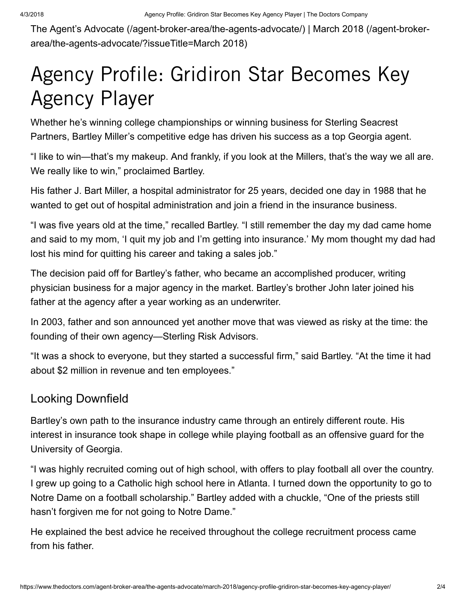The Agent's Advocate [\(/agent-broker-area/the-agents-advocate/\)](https://www.thedoctors.com/agent-broker-area/the-agents-advocate/) | March 2018 (/agent-broker[area/the-agents-advocate/?issueTitle=March](https://www.thedoctors.com/agent-broker-area/the-agents-advocate/?issueTitle=March%202018) 2018)

## Agency Profile: Gridiron Star Becomes Key Agency Player

Whether he's winning college championships or winning business for Sterling Seacrest Partners, Bartley Miller's competitive edge has driven his success as a top Georgia agent.

"I like to win—that's my makeup. And frankly, if you look at the Millers, that's the way we all are. We really like to win," proclaimed Bartley.

His father J. Bart Miller, a hospital administrator for 25 years, decided one day in 1988 that he wanted to get out of hospital administration and join a friend in the insurance business.

"I was five years old at the time," recalled Bartley. "I still remember the day my dad came home and said to my mom, 'I quit my job and I'm getting into insurance.' My mom thought my dad had lost his mind for quitting his career and taking a sales job."

The decision paid off for Bartley's father, who became an accomplished producer, writing physician business for a major agency in the market. Bartley's brother John later joined his father at the agency after a year working as an underwriter.

In 2003, father and son announced yet another move that was viewed as risky at the time: the founding of their own agency—Sterling Risk Advisors.

"It was a shock to everyone, but they started a successful firm," said Bartley. "At the time it had about \$2 million in revenue and ten employees."

## Looking Downfield

Bartley's own path to the insurance industry came through an entirely different route. His interest in insurance took shape in college while playing football as an offensive guard for the University of Georgia.

"I was highly recruited coming out of high school, with offers to play football all over the country. I grew up going to a Catholic high school here in Atlanta. I turned down the opportunity to go to Notre Dame on a football scholarship." Bartley added with a chuckle, "One of the priests still hasn't forgiven me for not going to Notre Dame."

He explained the best advice he received throughout the college recruitment process came from his father.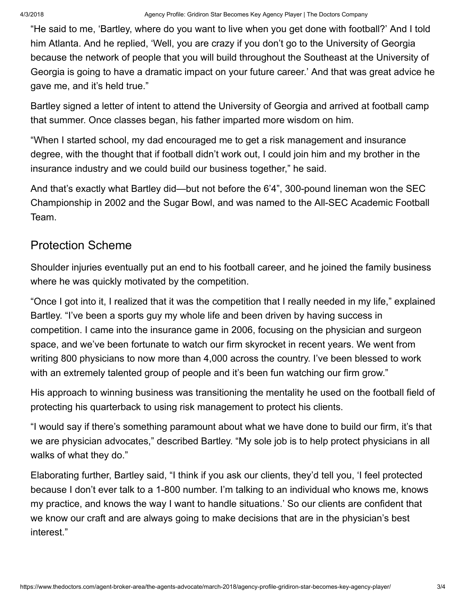"He said to me, 'Bartley, where do you want to live when you get done with football?' And I told him Atlanta. And he replied, 'Well, you are crazy if you don't go to the University of Georgia because the network of people that you will build throughout the Southeast at the University of Georgia is going to have a dramatic impact on your future career.' And that was great advice he gave me, and it's held true."

Bartley signed a letter of intent to attend the University of Georgia and arrived at football camp that summer. Once classes began, his father imparted more wisdom on him.

"When I started school, my dad encouraged me to get a risk management and insurance degree, with the thought that if football didn't work out, I could join him and my brother in the insurance industry and we could build our business together," he said.

And that's exactly what Bartley did—but not before the 6'4", 300-pound lineman won the SEC Championship in 2002 and the Sugar Bowl, and was named to the All-SEC Academic Football Team.

## Protection Scheme

Shoulder injuries eventually put an end to his football career, and he joined the family business where he was quickly motivated by the competition.

"Once I got into it, I realized that it was the competition that I really needed in my life," explained Bartley. "I've been a sports guy my whole life and been driven by having success in competition. I came into the insurance game in 2006, focusing on the physician and surgeon space, and we've been fortunate to watch our firm skyrocket in recent years. We went from writing 800 physicians to now more than 4,000 across the country. I've been blessed to work with an extremely talented group of people and it's been fun watching our firm grow."

His approach to winning business was transitioning the mentality he used on the football field of protecting his quarterback to using risk management to protect his clients.

"I would say if there's something paramount about what we have done to build our firm, it's that we are physician advocates," described Bartley. "My sole job is to help protect physicians in all walks of what they do."

Elaborating further, Bartley said, "I think if you ask our clients, they'd tell you, 'I feel protected because I don't ever talk to a 1-800 number. I'm talking to an individual who knows me, knows my practice, and knows the way I want to handle situations.' So our clients are confident that we know our craft and are always going to make decisions that are in the physician's best interest."